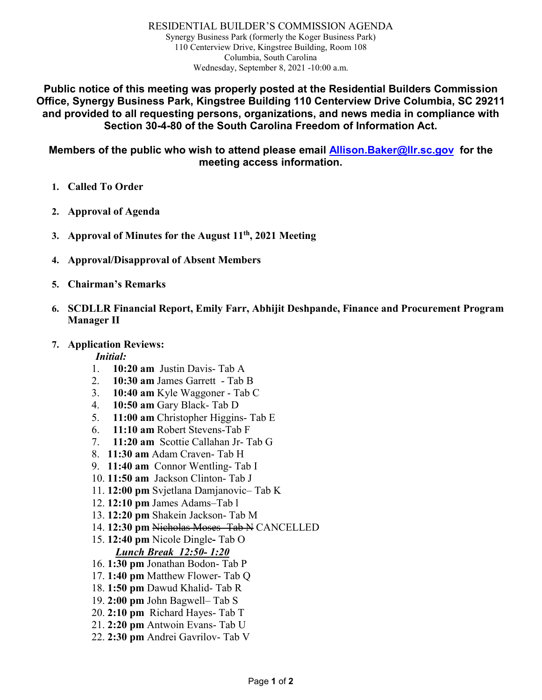RESIDENTIAL BUILDER'S COMMISSION AGENDA Synergy Business Park (formerly the Koger Business Park) 110 Centerview Drive, Kingstree Building, Room 108 Columbia, South Carolina Wednesday, September 8, 2021 -10:00 a.m.

**Public notice of this meeting was properly posted at the Residential Builders Commission Office, Synergy Business Park, Kingstree Building 110 Centerview Drive Columbia, SC 29211 and provided to all requesting persons, organizations, and news media in compliance with Section 30-4-80 of the South Carolina Freedom of Information Act.**

**Members of the public who wish to attend please email [Allison.Baker@llr.sc.gov](mailto:Allison.Baker@llr.sc.gov) for the meeting access information.**

- **1. Called To Order**
- **2. Approval of Agenda**
- **3. Approval of Minutes for the August 11th, 2021 Meeting**
- **4. Approval/Disapproval of Absent Members**
- **5. Chairman's Remarks**
- **6. SCDLLR Financial Report, Emily Farr, Abhijit Deshpande, Finance and Procurement Program Manager II**
- **7. Application Reviews:**

*Initial:*

- 1. **10:20 am** Justin Davis- Tab A
- 2. **10:30 am** James Garrett Tab B
- 3. **10:40 am** Kyle Waggoner Tab C
- 4. **10:50 am** Gary Black- Tab D
- 5. **11:00 am** Christopher Higgins- Tab E
- 6. **11:10 am** Robert Stevens-Tab F
- 7. **11:20 am** Scottie Callahan Jr- Tab G
- 8. **11:30 am** Adam Craven- Tab H
- 9. **11:40 am** Connor Wentling- Tab I
- 10. **11:50 am** Jackson Clinton- Tab J
- 11. **12:00 pm** Svjetlana Damjanovic– Tab K
- 12. **12:10 pm** James Adams–Tab l
- 13. **12:20 pm** Shakein Jackson- Tab M
- 14. **12:30 pm** Nicholas Moses- Tab N CANCELLED
- 15. **12:40 pm** Nicole Dingle**-** Tab O *Lunch Break 12:50- 1:20*
- 16. **1:30 pm** Jonathan Bodon- Tab P
- 17. **1:40 pm** Matthew Flower- Tab Q
- 18. **1:50 pm** Dawud Khalid- Tab R
- 19. **2:00 pm** John Bagwell– Tab S
- 20. **2:10 pm** Richard Hayes- Tab T
- 21. **2:20 pm** Antwoin Evans- Tab U
- 22. **2:30 pm** Andrei Gavrilov- Tab V